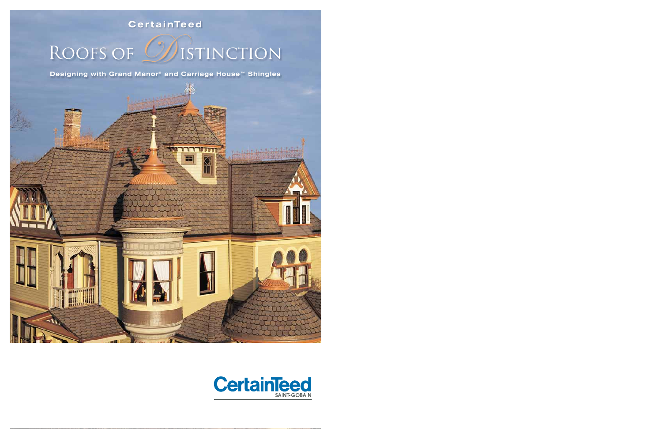## **CertainTeed**

# ROOFS OF WISTINCTION

Designing with Grand Manor® and Carriage House<sup>™</sup> Shingles

éà

m

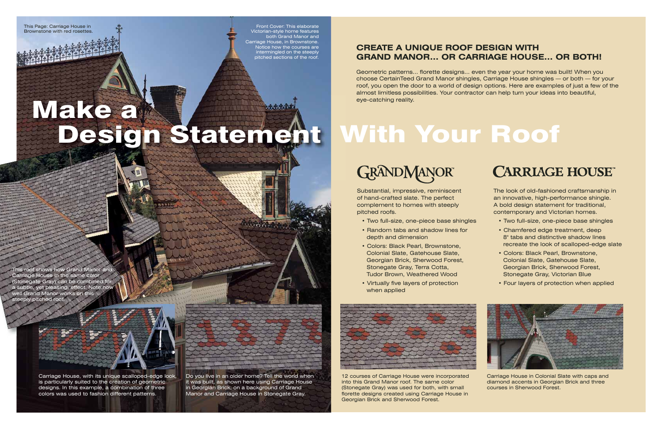## **CREATE A UNIQUE ROOF DESIGN WITH GRAND MANOR... OR CARRIAGE HOUSE... OR BOTH!**

Geometric patterns... florette designs... even the year your home was built! When you choose CertainTeed Grand Manor shingles, Carriage House shingles — or both — for your roof, you open the door to a world of design options. Here are examples of just a few of the almost limitless possibilities. Your contractor can help turn your ideas into beautiful, eye-catching reality.

Substantial, impressive, reminiscent of hand-crafted slate. The perfect complement to homes with steeply pitched roofs.

- Two full-size, one-piece base shingles
- Random tabs and shadow lines for depth and dimension
- Colors: Black Pearl, Brownstone, Colonial Slate, Gatehouse Slate, Georgian Brick, Sherwood Forest, Stonegate Gray, Terra Cotta, Tudor Brown, Weathered Wood
- Virtually five layers of protection when applied

# With Your Roof



Do you live in an older home? Tell the world when it was built, as shown here using Carriage House in Georgian Brick, on a background of Grand Manor and Carriage House in Stonegate Gray.

The look of old-fashioned craftsmanship in an innovative, high-performance shingle. A bold design statement for traditional, contemporary and Victorian homes.

- Two full-size, one-piece base shingles
- Chamfered edge treatment, deep 8" tabs and distinctive shadow lines recreate the look of scalloped-edge slate
- Colors: Black Pearl, Brownstone, Colonial Slate, Gatehouse Slate, Georgian Brick, Sherwood Forest, Stonegate Gray, Victorian Blue
- Four layers of protection when applied

his roof shows how Grand Manor and Carriage House in the same color (Stonegate Gray) can be combined for a subtle, yet pleasing, effect. Note how well Grand Manor works on this steeply pitched roof.

# Make a 计生长主义 Design Statement

Front Cover: This elaborate Victorian-style home features both Grand Manor and Carriage House, in Brownstone. Notice how the courses are intermingled on the steeply pitched sections of the roof.

This Page: Carriage House in Brownstone with red rosettes.



12 courses of Carriage House were incorporated into this Grand Manor roof. The same color (Stonegate Gray) was used for both, with small florette designs created using Carriage House in Georgian Brick and Sherwood Forest.

## **CARRIAGE HOUSE**



Carriage House in Colonial Slate with caps and diamond accents in Georgian Brick and three courses in Sherwood Forest.

Carriage House, with its unique scalloped-edge look, is particularly suited to the creation of geometric designs. In this example, a combination of three colors was used to fashion different patterns.